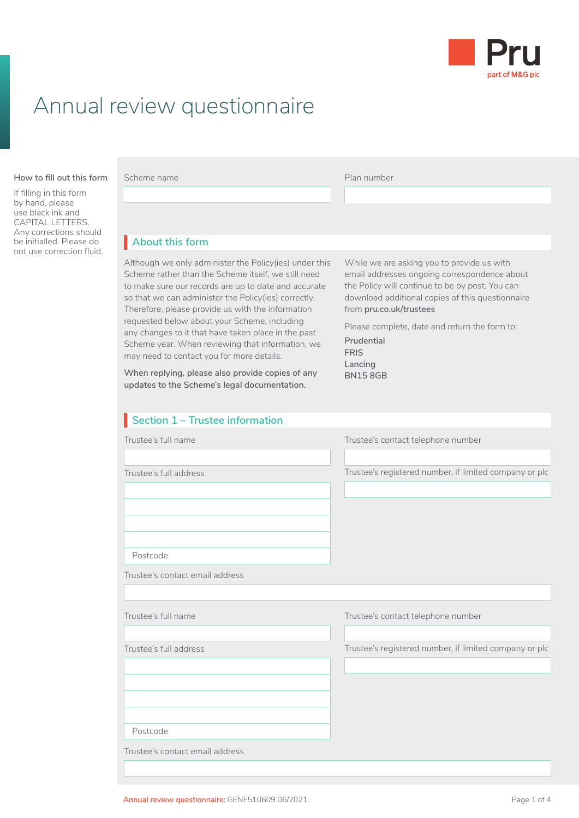

## Annual review questionnaire

#### **How to fill out this form**

If filling in this form by hand, please use black ink and CAPITAL LETTERS. Any corrections should be initialled. Please do not use correction fluid. Scheme name **Plan number** 

## **About this form** I

Although we only administer the Policy(ies) under this Scheme rather than the Scheme itself, we still need to make sure our records are up to date and accurate so that we can administer the Policy(ies) correctly. Therefore, please provide us with the information requested below about your Scheme, including any changes to it that have taken place in the past Scheme year. When reviewing that information, we may need to contact you for more details.

**When replying, please also provide copies of any updates to the Scheme's legal documentation.** 

While we are asking you to provide us with email addresses ongoing correspondence about the Policy will continue to be by post. You can download additional copies of this questionnaire from **[pru.co.uk/trustees](https://www.pru.co.uk/trustees/)**

Please complete, date and return the form to:

**Prudential FRIS Lancing BN15 8GB**

| Section 1 - Trustee information |                                                        |
|---------------------------------|--------------------------------------------------------|
| Trustee's full name             | Trustee's contact telephone number                     |
|                                 |                                                        |
| Trustee's full address          | Trustee's registered number, if limited company or plc |
|                                 |                                                        |
|                                 |                                                        |
|                                 |                                                        |
| Postcode                        |                                                        |
|                                 |                                                        |
| Trustee's contact email address |                                                        |
|                                 |                                                        |
| Trustee's full name             | Trustee's contact telephone number                     |
|                                 |                                                        |
| Trustee's full address          | Trustee's registered number, if limited company or plc |
|                                 |                                                        |
|                                 |                                                        |
|                                 |                                                        |
| Postcode                        |                                                        |
| Trustee's contact email address |                                                        |
|                                 |                                                        |
|                                 |                                                        |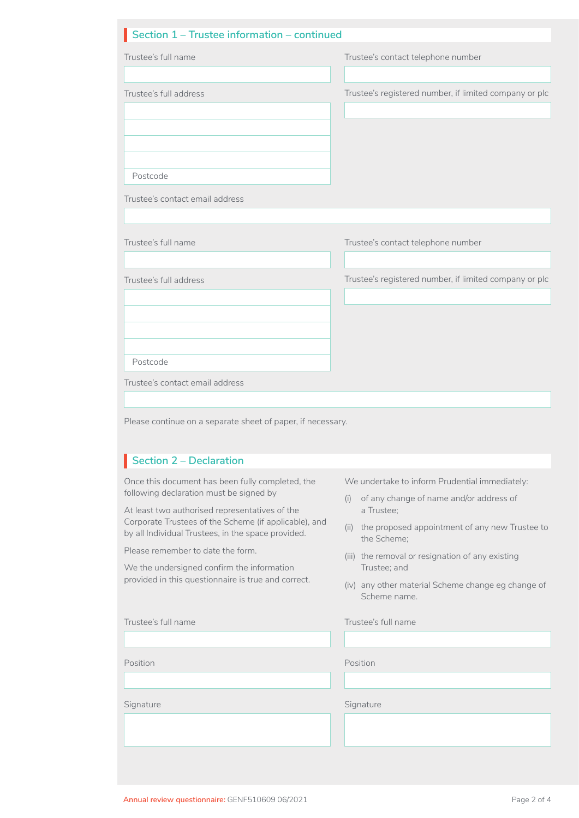## **Section 1 – Trustee information – continued** I

| Trustee's full name                                                                                                                                                                                                                                                                                                 | Trustee's contact telephone number                                                                                                                                                                                                       |
|---------------------------------------------------------------------------------------------------------------------------------------------------------------------------------------------------------------------------------------------------------------------------------------------------------------------|------------------------------------------------------------------------------------------------------------------------------------------------------------------------------------------------------------------------------------------|
| Trustee's full address                                                                                                                                                                                                                                                                                              | Trustee's registered number, if limited company or plc                                                                                                                                                                                   |
| Postcode<br>Trustee's contact email address                                                                                                                                                                                                                                                                         |                                                                                                                                                                                                                                          |
| Trustee's full name<br>Trustee's full address                                                                                                                                                                                                                                                                       | Trustee's contact telephone number<br>Trustee's registered number, if limited company or plc                                                                                                                                             |
| Postcode<br>Trustee's contact email address                                                                                                                                                                                                                                                                         |                                                                                                                                                                                                                                          |
|                                                                                                                                                                                                                                                                                                                     |                                                                                                                                                                                                                                          |
| Please continue on a separate sheet of paper, if necessary.<br><b>Section 2 - Declaration</b>                                                                                                                                                                                                                       |                                                                                                                                                                                                                                          |
| Once this document has been fully completed, the<br>by all Individual Trustees, in the space provided.                                                                                                                                                                                                              | We undertake to inform Prudential immediately:<br>of any change of name and/or address of<br>(i)<br>a Trustee;<br>the Scheme;<br>(iii) the removal or resignation of any existing<br>Trustee; and<br>Scheme name.<br>Trustee's full name |
| following declaration must be signed by<br>At least two authorised representatives of the<br>Corporate Trustees of the Scheme (if applicable), and<br>Please remember to date the form.<br>We the undersigned confirm the information<br>provided in this questionnaire is true and correct.<br>Trustee's full name | (ii) the proposed appointment of any new Trustee to<br>(iv) any other material Scheme change eg change of                                                                                                                                |
| Position                                                                                                                                                                                                                                                                                                            | Position                                                                                                                                                                                                                                 |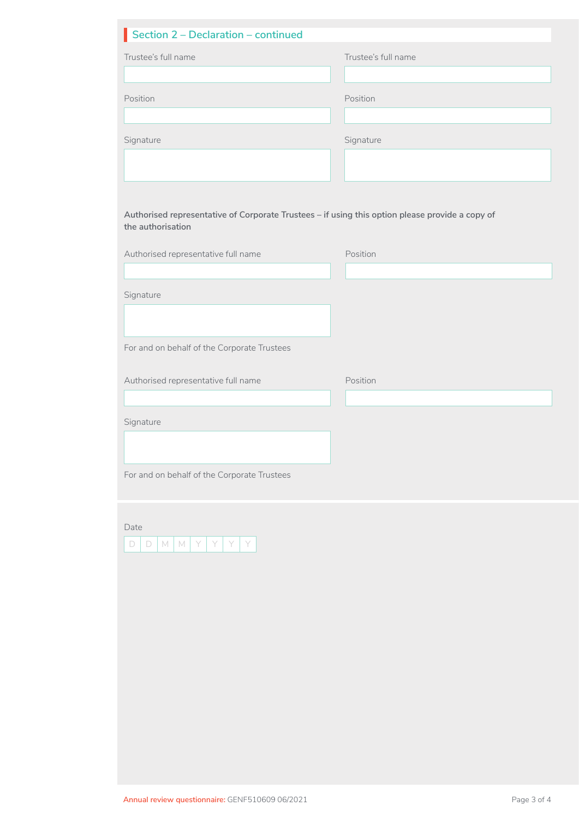| Section 2 - Declaration - continued                                                                                  |                     |  |
|----------------------------------------------------------------------------------------------------------------------|---------------------|--|
| Trustee's full name                                                                                                  | Trustee's full name |  |
|                                                                                                                      |                     |  |
| Position                                                                                                             | Position            |  |
|                                                                                                                      |                     |  |
| Signature                                                                                                            | Signature           |  |
|                                                                                                                      |                     |  |
|                                                                                                                      |                     |  |
|                                                                                                                      |                     |  |
| Authorised representative of Corporate Trustees - if using this option please provide a copy of<br>the authorisation |                     |  |
| Authorised representative full name                                                                                  | Position            |  |
|                                                                                                                      |                     |  |
| Signature                                                                                                            |                     |  |
|                                                                                                                      |                     |  |
|                                                                                                                      |                     |  |
| For and on behalf of the Corporate Trustees                                                                          |                     |  |
| Authorised representative full name                                                                                  | Position            |  |
|                                                                                                                      |                     |  |
| Signature                                                                                                            |                     |  |
|                                                                                                                      |                     |  |
|                                                                                                                      |                     |  |
| For and on behalf of the Corporate Trustees                                                                          |                     |  |
|                                                                                                                      |                     |  |
| Date                                                                                                                 |                     |  |
| Y<br>$\Box$<br>$\mathbb{M}$<br>Y<br>Y<br>Y<br>$\Box$<br>M                                                            |                     |  |
|                                                                                                                      |                     |  |
|                                                                                                                      |                     |  |
|                                                                                                                      |                     |  |
|                                                                                                                      |                     |  |
|                                                                                                                      |                     |  |
|                                                                                                                      |                     |  |
|                                                                                                                      |                     |  |
|                                                                                                                      |                     |  |
|                                                                                                                      |                     |  |
|                                                                                                                      |                     |  |